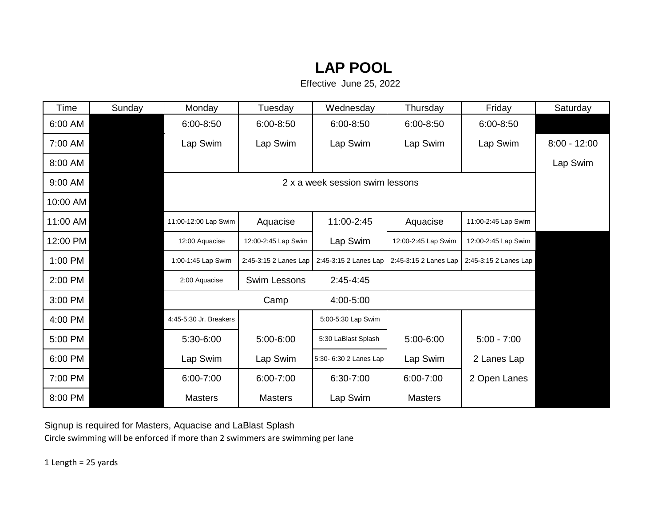## **LAP POOL**

Effective June 25, 2022

| Time     | Sunday                          | Monday                 | Tuesday               | Wednesday              | Thursday              | Friday                | Saturday       |  |
|----------|---------------------------------|------------------------|-----------------------|------------------------|-----------------------|-----------------------|----------------|--|
| 6:00 AM  |                                 | 6:00-8:50              | $6:00 - 8:50$         | $6:00 - 8:50$          | $6:00 - 8:50$         | 6:00-8:50             |                |  |
| 7:00 AM  |                                 | Lap Swim               | Lap Swim              | Lap Swim               | Lap Swim              | Lap Swim              | $8:00 - 12:00$ |  |
| 8:00 AM  |                                 |                        |                       |                        |                       |                       | Lap Swim       |  |
| 9:00 AM  | 2 x a week session swim lessons |                        |                       |                        |                       |                       |                |  |
| 10:00 AM |                                 |                        |                       |                        |                       |                       |                |  |
| 11:00 AM |                                 | 11:00-12:00 Lap Swim   | Aquacise              | 11:00-2:45             | Aquacise              | 11:00-2:45 Lap Swim   |                |  |
| 12:00 PM |                                 | 12:00 Aquacise         | 12:00-2:45 Lap Swim   | Lap Swim               | 12:00-2:45 Lap Swim   | 12:00-2:45 Lap Swim   |                |  |
| 1:00 PM  |                                 | 1:00-1:45 Lap Swim     | 2:45-3:15 2 Lanes Lap | 2:45-3:15 2 Lanes Lap  | 2:45-3:15 2 Lanes Lap | 2:45-3:15 2 Lanes Lap |                |  |
| 2:00 PM  |                                 | 2:00 Aquacise          | <b>Swim Lessons</b>   | $2:45-4:45$            |                       |                       |                |  |
| 3:00 PM  |                                 |                        | Camp                  | 4:00-5:00              |                       |                       |                |  |
| 4:00 PM  |                                 | 4:45-5:30 Jr. Breakers |                       | 5:00-5:30 Lap Swim     |                       |                       |                |  |
| 5:00 PM  |                                 | 5:30-6:00              | 5:00-6:00             | 5:30 LaBlast Splash    | 5:00-6:00             | $5:00 - 7:00$         |                |  |
| 6:00 PM  |                                 | Lap Swim               | Lap Swim              | 5:30- 6:30 2 Lanes Lap | Lap Swim              | 2 Lanes Lap           |                |  |
| 7:00 PM  |                                 | 6:00-7:00              | 6:00-7:00             | 6:30-7:00              | 6:00-7:00             | 2 Open Lanes          |                |  |
| 8:00 PM  |                                 | <b>Masters</b>         | <b>Masters</b>        | Lap Swim               | <b>Masters</b>        |                       |                |  |

Signup is required for Masters, Aquacise and LaBlast Splash Circle swimming will be enforced if more than 2 swimmers are swimming per lane

1 Length = 25 yards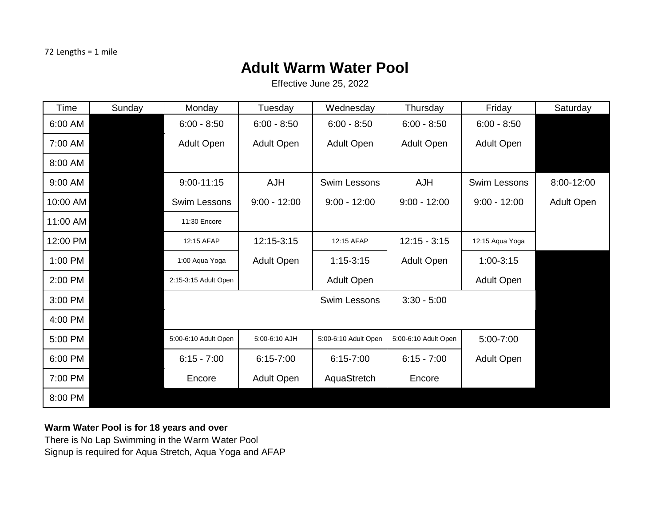## **Adult Warm Water Pool**

Effective June 25, 2022

| Time     | Sunday | Monday               | Tuesday           | Wednesday            | Thursday             | Friday              | Saturday   |
|----------|--------|----------------------|-------------------|----------------------|----------------------|---------------------|------------|
| 6:00 AM  |        | $6:00 - 8:50$        | $6:00 - 8:50$     | $6:00 - 8:50$        | $6:00 - 8:50$        | $6:00 - 8:50$       |            |
| 7:00 AM  |        | Adult Open           | <b>Adult Open</b> | <b>Adult Open</b>    | <b>Adult Open</b>    | Adult Open          |            |
| 8:00 AM  |        |                      |                   |                      |                      |                     |            |
| 9:00 AM  |        | $9:00 - 11:15$       | <b>AJH</b>        | <b>Swim Lessons</b>  | <b>AJH</b>           | <b>Swim Lessons</b> | 8:00-12:00 |
| 10:00 AM |        | Swim Lessons         | $9:00 - 12:00$    | $9:00 - 12:00$       | $9:00 - 12:00$       | $9:00 - 12:00$      | Adult Open |
| 11:00 AM |        | 11:30 Encore         |                   |                      |                      |                     |            |
| 12:00 PM |        | 12:15 AFAP           | 12:15-3:15        | 12:15 AFAP           | $12:15 - 3:15$       | 12:15 Aqua Yoga     |            |
| 1:00 PM  |        | 1:00 Aqua Yoga       | <b>Adult Open</b> | $1:15-3:15$          | <b>Adult Open</b>    | 1:00-3:15           |            |
| 2:00 PM  |        | 2:15-3:15 Adult Open |                   | Adult Open           |                      | <b>Adult Open</b>   |            |
| 3:00 PM  |        |                      |                   | Swim Lessons         | $3:30 - 5:00$        |                     |            |
| 4:00 PM  |        |                      |                   |                      |                      |                     |            |
| 5:00 PM  |        | 5:00-6:10 Adult Open | 5:00-6:10 AJH     | 5:00-6:10 Adult Open | 5:00-6:10 Adult Open | 5:00-7:00           |            |
| 6:00 PM  |        | $6:15 - 7:00$        | $6:15 - 7:00$     | $6:15 - 7:00$        | $6:15 - 7:00$        | Adult Open          |            |
| 7:00 PM  |        | Encore               | <b>Adult Open</b> | AquaStretch          | Encore               |                     |            |
| 8:00 PM  |        |                      |                   |                      |                      |                     |            |

## **Warm Water Pool is for 18 years and over**

There is No Lap Swimming in the Warm Water Pool Signup is required for Aqua Stretch, Aqua Yoga and AFAP